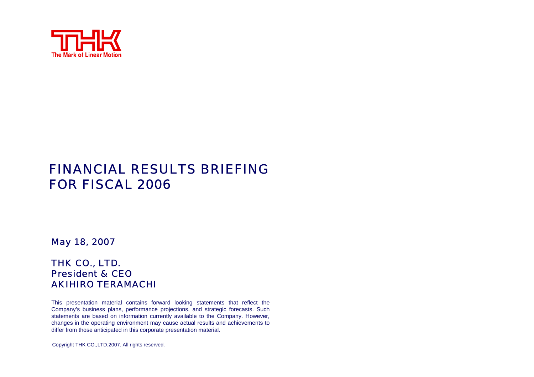

# FINANCIAL RESULTS BRIEFING FOR FISCAL 2006

May 18, 2007

#### THK CO., LTD. President & CEOAKIHIRO TERAMACHI

This presentation material contains for ward looking statements that reflect the Company's business plans, performance projections, and strategic forecasts. Such statements are based on information currently available to the Company. Ho wever, changes in the operating environment may cause actual results and achievements to differ from those anticipated in this corporate presentation material.

Copyright THK CO.,LTD.2007. All rights reserved.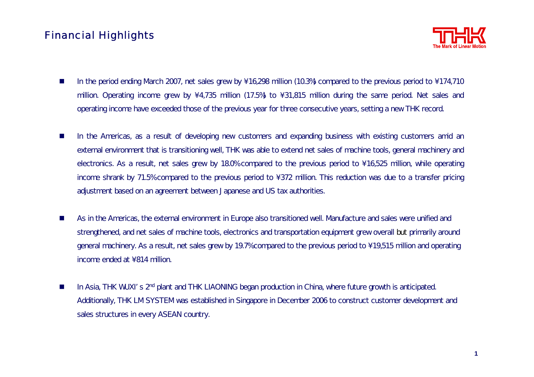### Financial Highlights



- $\mathcal{L}_{\mathcal{A}}$ In the period ending March 2007, net sales grew by  $\16,298$  million (10.3%) compared to the previous period to  $\174,710$ million. Operating income grew by \4,735 million (17.5%) to \31,815 million during the same period. Net sales and operating income have exceeded those of the previous year for three consecutive years, setting a new THK record.
- **The State** In the Americas, as a result of developing new customers and expanding business with existing customers amid an external environment that is transitioning well, THK was able to extend net sales of machine tools, general machinery and electronics. As a result, net sales grew by 18.0% compared to the previous period to \16,525 million, while operating income shrank by 71.5% compared to the previous period to  $\frac{1}{372}$  million. This reduction was due to a transfer pricing adjustment based on an agreement between Japanese and US tax authorities.
- $\mathcal{L}_{\mathcal{A}}$  As in the Americas, the external environment in Europe also transitioned well. Manufacture and sales were unified and strengthened, and net sales of machine tools, electronics and transportation equipment grew overall but primarily around general machinery. As a result, net sales grew by 19.7% compared to the previous period to \19,515 million and operating income ended at  $\setminus$  814 million.
- $\mathcal{L}_{\mathcal{A}}$ In Asia, THK WUXI's 2<sup>nd</sup> plant and THK LIAONING began production in China, where future growth is anticipated. Additionally, THK LM SYSTEM was established in Singapore in December 2006 to construct customer development and sales structures in every ASEAN country.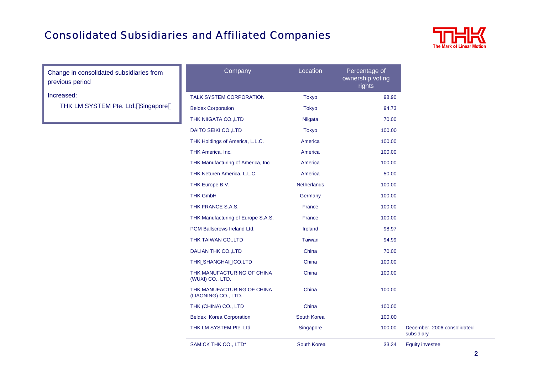## Consolidated Subsidiaries and Affiliated Companies



Change in consolidated subsidiaries from previous period

Increased:

THK LM SYSTEM Pte. Ltd. Singapore

| Company                                            | Location           | Percentage of<br>ownership voting<br>rights |                                           |
|----------------------------------------------------|--------------------|---------------------------------------------|-------------------------------------------|
| <b>TALK SYSTEM CORPORATION</b>                     | <b>Tokyo</b>       | 98.90                                       |                                           |
| <b>Beldex Corporation</b>                          | <b>Tokyo</b>       | 94.73                                       |                                           |
| THK NIIGATA CO., LTD                               | Niigata            | 70.00                                       |                                           |
| DAITO SEIKI CO., LTD                               | <b>Tokyo</b>       | 100.00                                      |                                           |
| THK Holdings of America, L.L.C.                    | America            | 100.00                                      |                                           |
| THK America, Inc.                                  | America            | 100.00                                      |                                           |
| THK Manufacturing of America, Inc.                 | America            | 100.00                                      |                                           |
| THK Neturen America, L.L.C.                        | America            | 50.00                                       |                                           |
| THK Europe B.V.                                    | <b>Netherlands</b> | 100.00                                      |                                           |
| <b>THK GmbH</b>                                    | Germany            | 100.00                                      |                                           |
| THK FRANCE S.A.S.                                  | France             | 100.00                                      |                                           |
| THK Manufacturing of Europe S.A.S.                 | France             | 100.00                                      |                                           |
| PGM Ballscrews Ireland Ltd.                        | Ireland            | 98.97                                       |                                           |
| THK TAIWAN CO., LTD                                | <b>Taiwan</b>      | 94.99                                       |                                           |
| <b>DALIAN THK CO., LTD</b>                         | China              | 70.00                                       |                                           |
| THK SHANGHAI CO.LTD                                | China              | 100.00                                      |                                           |
| THK MANUFACTURING OF CHINA<br>(WUXI) CO., LTD.     | China              | 100.00                                      |                                           |
| THK MANUFACTURING OF CHINA<br>(LIAONING) CO., LTD. | China              | 100.00                                      |                                           |
| THK (CHINA) CO., LTD                               | China              | 100.00                                      |                                           |
| <b>Beldex Korea Corporation</b>                    | South Korea        | 100.00                                      |                                           |
| THK LM SYSTEM Pte. Ltd.                            | Singapore          | 100.00                                      | December, 2006 consolidated<br>subsidiary |
| SAMICK THK CO., LTD*                               | South Korea        | 33.34                                       | <b>Equity investee</b>                    |
|                                                    |                    |                                             |                                           |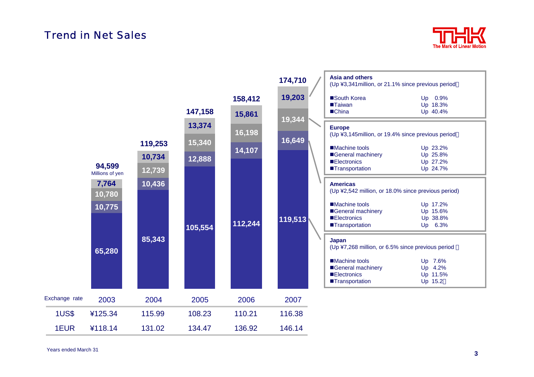#### Trend in Net Sales



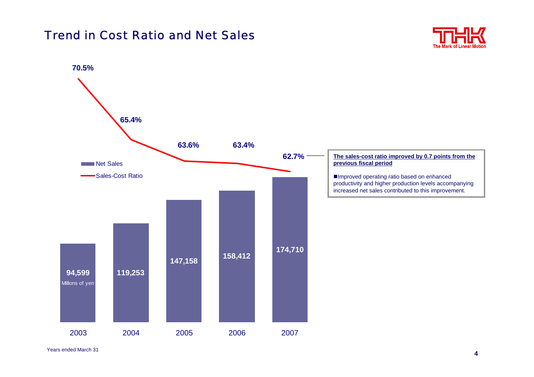## Trend in Cost Ratio and Net Sales



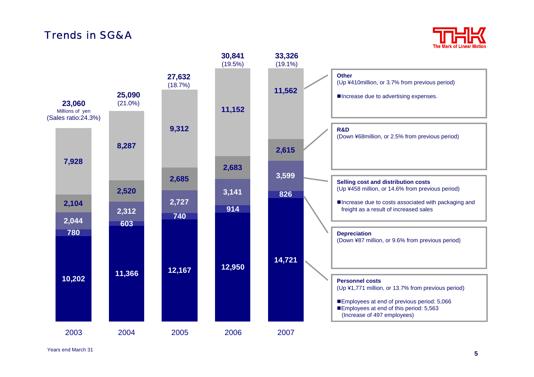## Trends in SG&A



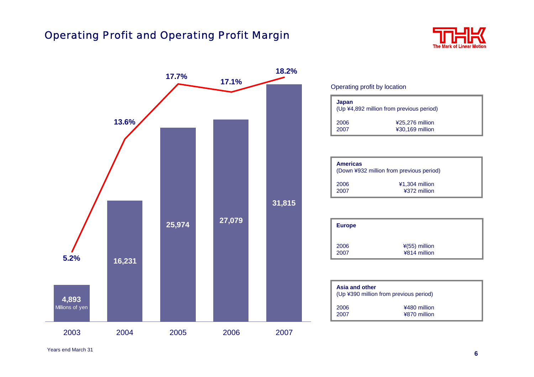### Operating Profit and Operating Profit Margin





#### Operating profit by location

| Japan<br>(Up ¥4,892 million from previous period) |                                    |  |  |
|---------------------------------------------------|------------------------------------|--|--|
| 2006<br>2007                                      | ¥25,276 million<br>¥30,169 million |  |  |

| <b>Americas</b> | (Down ¥932 million from previous period) |
|-----------------|------------------------------------------|
| 2006            | ¥1,304 million                           |
| 2007            | ¥372 million                             |

| <b>Europe</b> |                                 |  |
|---------------|---------------------------------|--|
| 2006<br>2007  | $*(55)$ million<br>¥814 million |  |

| Asia and other | (Up ¥390 million from previous period) |  |
|----------------|----------------------------------------|--|
| 2006<br>2007   | ¥480 million<br>¥870 million           |  |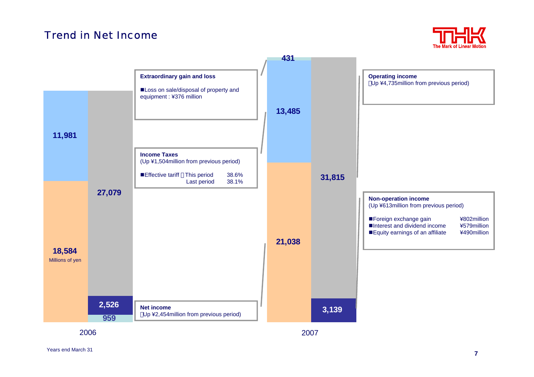#### Trend in Net Income





2006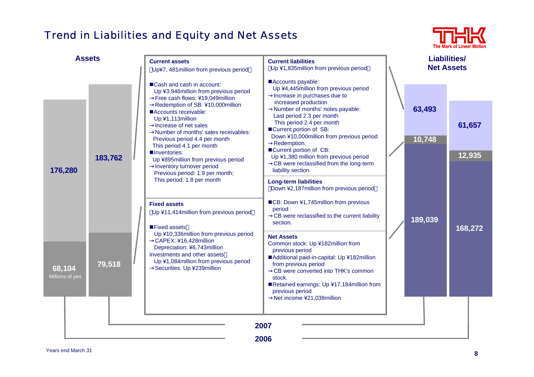## Trend in Liabilities and Equity and Net Assets



| <b>Assets</b>             |         |  | <b>Current assets</b><br>Up¥7, 481 million from previous period                                                                                                                                        | <b>Current liabilities</b><br>Up ¥1,835million from previous period                                                                                                                                                                                                                            | <b>Liabilities/</b><br><b>Net Assets</b>                                                                                                                                                                                                                                                                                                       |         |                  |                  |
|---------------------------|---------|--|--------------------------------------------------------------------------------------------------------------------------------------------------------------------------------------------------------|------------------------------------------------------------------------------------------------------------------------------------------------------------------------------------------------------------------------------------------------------------------------------------------------|------------------------------------------------------------------------------------------------------------------------------------------------------------------------------------------------------------------------------------------------------------------------------------------------------------------------------------------------|---------|------------------|------------------|
|                           |         |  | ■ Cash and cash in account:<br>Up ¥3,946million from previous period<br>Free cash flows: ¥19,049million                                                                                                | Accounts payable:<br>Up ¥4,445million from previous period<br>Increase in purchases due to                                                                                                                                                                                                     |                                                                                                                                                                                                                                                                                                                                                |         |                  |                  |
| 176,280                   | 183,762 |  | Accounts receivable:<br>Up ¥1,113million<br>Increase of net sales<br>Previous period 4.4 per month<br>This period 4.1 per month<br>Inventories:<br>Inventory turnover period                           | Redemption of SB: ¥10,000million<br>Number of months' sales receivables:<br>Up ¥895million from previous period                                                                                                                                                                                | increased production<br>Number of months' notes payable:<br>Last period 2.3 per month<br>This period 2.4 per month<br>■Current portion of SB:<br>Down ¥10,000million from previous period<br>Redemption.<br>■Current portion of CB:<br>Up ¥1,380 million from previous period<br>CB were reclassified from the long-term<br>liability section. |         | 63,493<br>10,748 | 61,657<br>12,935 |
|                           |         |  | Previous period: 1.9 per month;<br>This period: 1.8 per month<br><b>Fixed assets</b><br>Up ¥11,414 million from previous period<br>■Fixed assets                                                       | <b>Long-term liabilities</b><br>Down ¥2,187million from previous period<br>■CB: Down ¥1,745million from previous<br>period<br>CB were reclassified to the current liability<br>section.                                                                                                        |                                                                                                                                                                                                                                                                                                                                                | 189,039 | 168,272          |                  |
| 68,104<br>Millions of yen | 79,518  |  | Up ¥10,336million from previous period<br>CAPEX: ¥16,428million<br>Depreciation: ¥6,743million<br>Investments and other assets<br>Up ¥1,084 million from previous period<br>Securities: Up ¥239million | <b>Net Assets</b><br>Common stock: Up ¥182million from<br>previous period<br>Additional paid-in-capital: Up ¥182million<br>from previous period<br>CB were converted into THK's common<br>stock.<br>Retained earnings: Up ¥17,184 million from<br>previous period<br>Net income ¥21,038million |                                                                                                                                                                                                                                                                                                                                                |         |                  |                  |
|                           |         |  |                                                                                                                                                                                                        | 2007<br>2006                                                                                                                                                                                                                                                                                   |                                                                                                                                                                                                                                                                                                                                                |         |                  |                  |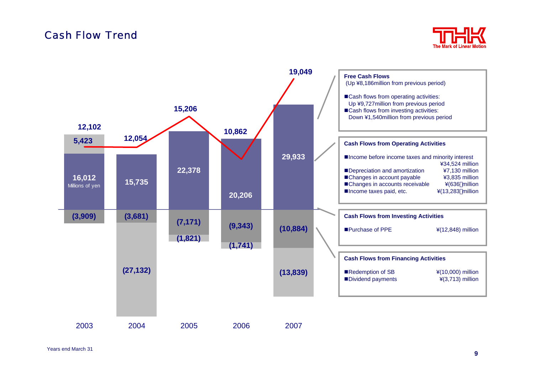#### Cash Flow Trend